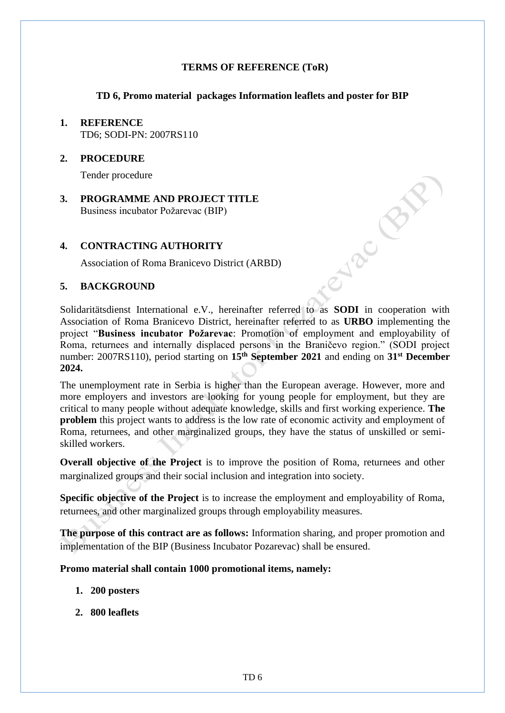## **TERMS OF REFERENCE (ToR)**

## **TD 6, Promo material packages Information leaflets and poster for BIP**

## **1. REFERENCE** TD6; SODI-PN: 2007RS110

#### **2. PROCEDURE**

Tender procedure

**3. PROGRAMME AND PROJECT TITLE** Business incubator Požarevac (BIP)

## **4. CONTRACTING AUTHORITY**

Association of Roma Branicevo District (ARBD)

## **5. BACKGROUND**

Solidaritätsdienst International e.V., hereinafter referred to as **SODI** in cooperation with Association of Roma Branicevo District, hereinafter referred to as **URBO** implementing the project "**Business incubator Požarevac**: Promotion of employment and employability of Roma, returnees and internally displaced persons in the Braničevo region." (SODI project number: 2007RS110), period starting on **15th September 2021** and ending on **31st December 2024.**

**Prince By** 

The unemployment rate in Serbia is higher than the European average. However, more and more employers and investors are looking for young people for employment, but they are critical to many people without adequate knowledge, skills and first working experience. **The problem** this project wants to address is the low rate of economic activity and employment of Roma, returnees, and other marginalized groups, they have the status of unskilled or semiskilled workers.

**Overall objective of the Project** is to improve the position of Roma, returnees and other marginalized groups and their social inclusion and integration into society.

**Specific objective of the Project** is to increase the employment and employability of Roma, returnees, and other marginalized groups through employability measures.

**The purpose of this contract are as follows:** Information sharing, and proper promotion and implementation of the BIP (Business Incubator Pozarevac) shall be ensured.

#### **Promo material shall contain 1000 promotional items, namely:**

- **1. 200 posters**
- **2. 800 leaflets**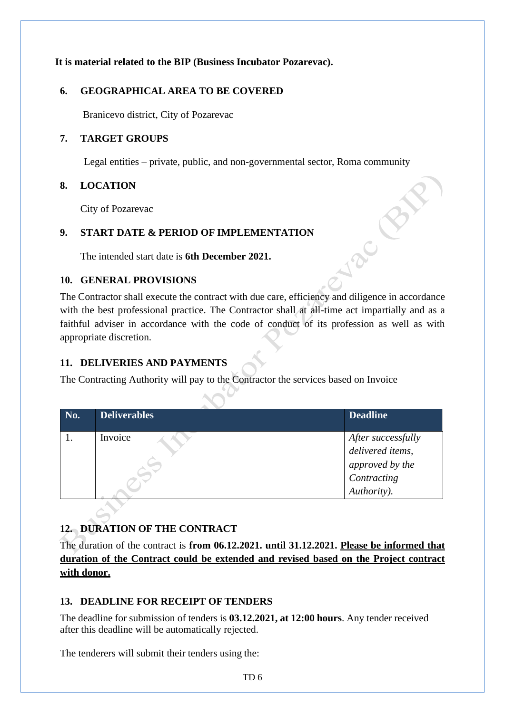# **It is material related to the BIP (Business Incubator Pozarevac).**

## **6. GEOGRAPHICAL AREA TO BE COVERED**

Branicevo district, City of Pozarevac

## **7. TARGET GROUPS**

Legal entities – private, public, and non-governmental sector, Roma community

## **8. LOCATION**

City of Pozarevac

## **9. START DATE & PERIOD OF IMPLEMENTATION**

The intended start date is **6th December 2021.**

## **10. GENERAL PROVISIONS**

The Contractor shall execute the contract with due care, efficiency and diligence in accordance with the best professional practice. The Contractor shall at all-time act impartially and as a faithful adviser in accordance with the code of conduct of its profession as well as with appropriate discretion.

Jac B

# **11. DELIVERIES AND PAYMENTS**

The Contracting Authority will pay to the Contractor the services based on Invoice

| No. | Deliverables | <b>Deadline</b>    |
|-----|--------------|--------------------|
|     | Invoice      | After successfully |
|     |              | delivered items,   |
|     |              | approved by the    |
|     |              | Contracting        |
|     |              | Authority).        |

# **12. DURATION OF THE CONTRACT**

The duration of the contract is **from 06.12.2021. until 31.12.2021. Please be informed that duration of the Contract could be extended and revised based on the Project contract with donor.**

# **13. DEADLINE FOR RECEIPT OF TENDERS**

The deadline for submission of tenders is **03.12.2021, at 12:00 hours**. Any tender received after this deadline will be automatically rejected.

The tenderers will submit their tenders using the: